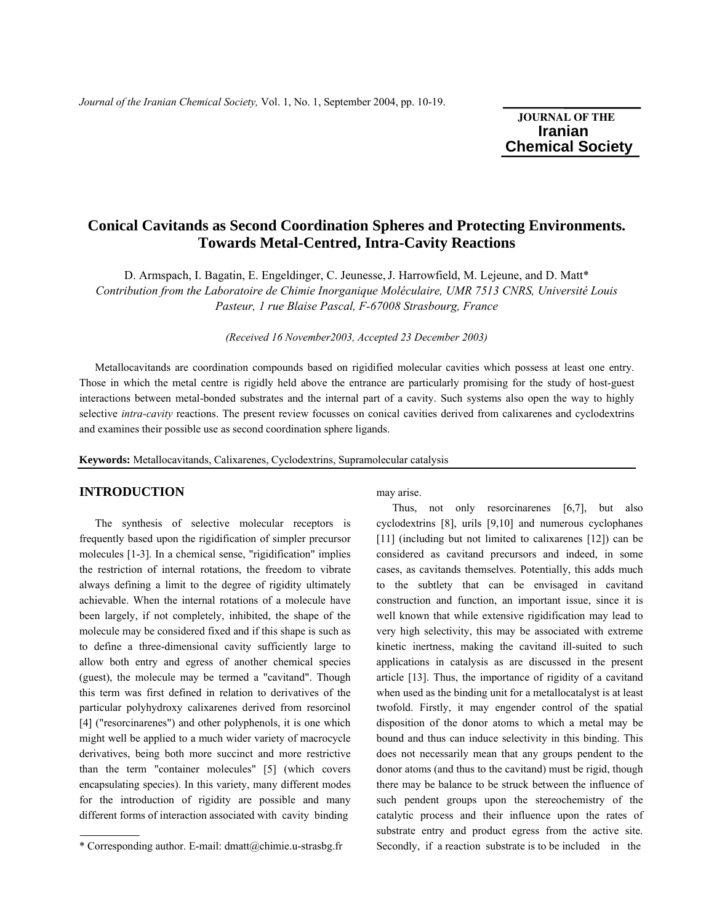# **JOURNAL OF THE Iranian Chemical Society**

# **Conical Cavitands as Second Coordination Spheres and Protecting Environments. Towards Metal-Centred, Intra-Cavity Reactions**

D. Armspach, I. Bagatin, E. Engeldinger, C. Jeunesse, J. Harrowfield, M. Lejeune, and D. Matt\*

*Contribution from the Laboratoire de Chimie Inorganique Moléculaire, UMR 7513 CNRS, Université Louis Pasteur, 1 rue Blaise Pascal, F-67008 Strasbourg, France* 

*(Received 16 November2003, Accepted 23 December 2003)* 

 Metallocavitands are coordination compounds based on rigidified molecular cavities which possess at least one entry. Those in which the metal centre is rigidly held above the entrance are particularly promising for the study of host-guest interactions between metal-bonded substrates and the internal part of a cavity. Such systems also open the way to highly selective *intra-cavity* reactions. The present review focusses on conical cavities derived from calixarenes and cyclodextrins and examines their possible use as second coordination sphere ligands.

**Keywords:** Metallocavitands, Calixarenes, Cyclodextrins, Supramolecular catalysis

# **INTRODUCTION**

 The synthesis of selective molecular receptors is frequently based upon the rigidification of simpler precursor molecules [1-3]. In a chemical sense, "rigidification" implies the restriction of internal rotations, the freedom to vibrate always defining a limit to the degree of rigidity ultimately achievable. When the internal rotations of a molecule have been largely, if not completely, inhibited, the shape of the molecule may be considered fixed and if this shape is such as to define a three-dimensional cavity sufficiently large to allow both entry and egress of another chemical species (guest), the molecule may be termed a "cavitand". Though this term was first defined in relation to derivatives of the particular polyhydroxy calixarenes derived from resorcinol [4] ("resorcinarenes") and other polyphenols, it is one which might well be applied to a much wider variety of macrocycle derivatives, being both more succinct and more restrictive than the term "container molecules" [5] (which covers encapsulating species). In this variety, many different modes for the introduction of rigidity are possible and many different forms of interaction associated with cavity binding

may arise.

 Thus, not only resorcinarenes [6,7], but also cyclodextrins [8], urils [9,10] and numerous cyclophanes [11] (including but not limited to calixarenes [12]) can be considered as cavitand precursors and indeed, in some cases, as cavitands themselves. Potentially, this adds much to the subtlety that can be envisaged in cavitand construction and function, an important issue, since it is well known that while extensive rigidification may lead to very high selectivity, this may be associated with extreme kinetic inertness, making the cavitand ill-suited to such applications in catalysis as are discussed in the present article [13]. Thus, the importance of rigidity of a cavitand when used as the binding unit for a metallocatalyst is at least twofold. Firstly, it may engender control of the spatial disposition of the donor atoms to which a metal may be bound and thus can induce selectivity in this binding. This does not necessarily mean that any groups pendent to the donor atoms (and thus to the cavitand) must be rigid, though there may be balance to be struck between the influence of such pendent groups upon the stereochemistry of the catalytic process and their influence upon the rates of substrate entry and product egress from the active site. Secondly, if a reaction substrate is to be included in the

<sup>\*</sup> Corresponding author. E-mail: dmatt@chimie.u-strasbg.fr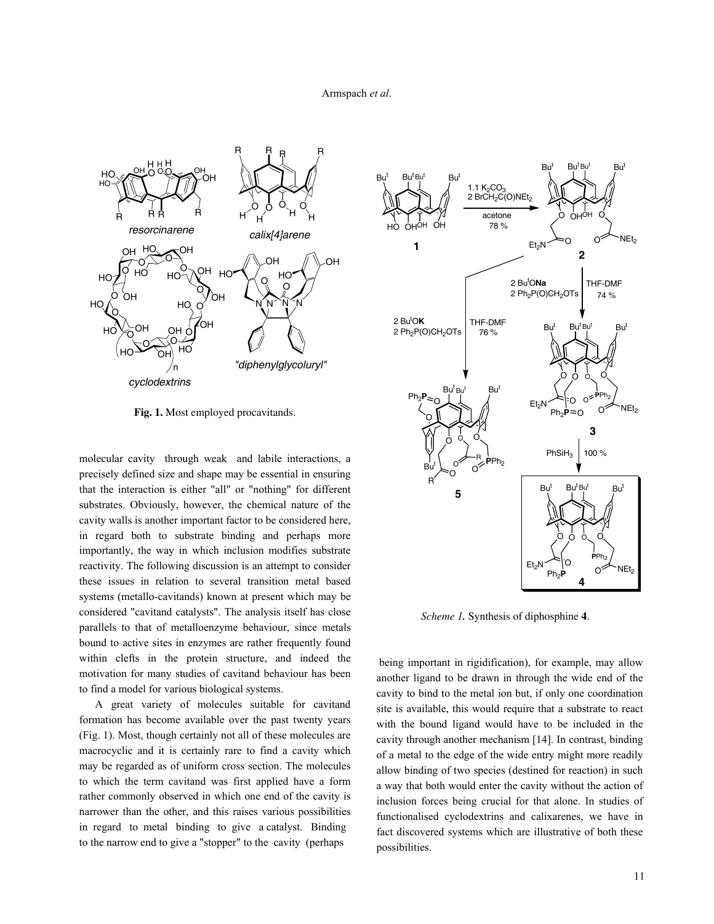

**Fig. 1.** Most employed procavitands.

molecular cavity through weak and labile interactions, a precisely defined size and shape may be essential in ensuring that the interaction is either "all" or "nothing" for different substrates. Obviously, however, the chemical nature of the cavity walls is another important factor to be considered here, in regard both to substrate binding and perhaps more importantly, the way in which inclusion modifies substrate reactivity. The following discussion is an attempt to consider these issues in relation to several transition metal based systems (metallo-cavitands) known at present which may be considered "cavitand catalysts". The analysis itself has close parallels to that of metalloenzyme behaviour, since metals bound to active sites in enzymes are rather frequently found within clefts in the protein structure, and indeed the motivation for many studies of cavitand behaviour has been to find a model for various biological systems.

 A great variety of molecules suitable for cavitand formation has become available over the past twenty years (Fig. 1). Most, though certainly not all of these molecules are macrocyclic and it is certainly rare to find a cavity which may be regarded as of uniform cross section. The molecules to which the term cavitand was first applied have a form rather commonly observed in which one end of the cavity is narrower than the other, and this raises various possibilities in regard to metal binding to give a catalyst. Binding to the narrow end to give a "stopper" to the cavity (perhaps



*Scheme 1.* Synthesis of diphosphine **4**.

 being important in rigidification), for example, may allow another ligand to be drawn in through the wide end of the cavity to bind to the metal ion but, if only one coordination site is available, this would require that a substrate to react with the bound ligand would have to be included in the cavity through another mechanism [14]. In contrast, binding of a metal to the edge of the wide entry might more readily allow binding of two species (destined for reaction) in such a way that both would enter the cavity without the action of inclusion forces being crucial for that alone. In studies of functionalised cyclodextrins and calixarenes, we have in fact discovered systems which are illustrative of both these possibilities.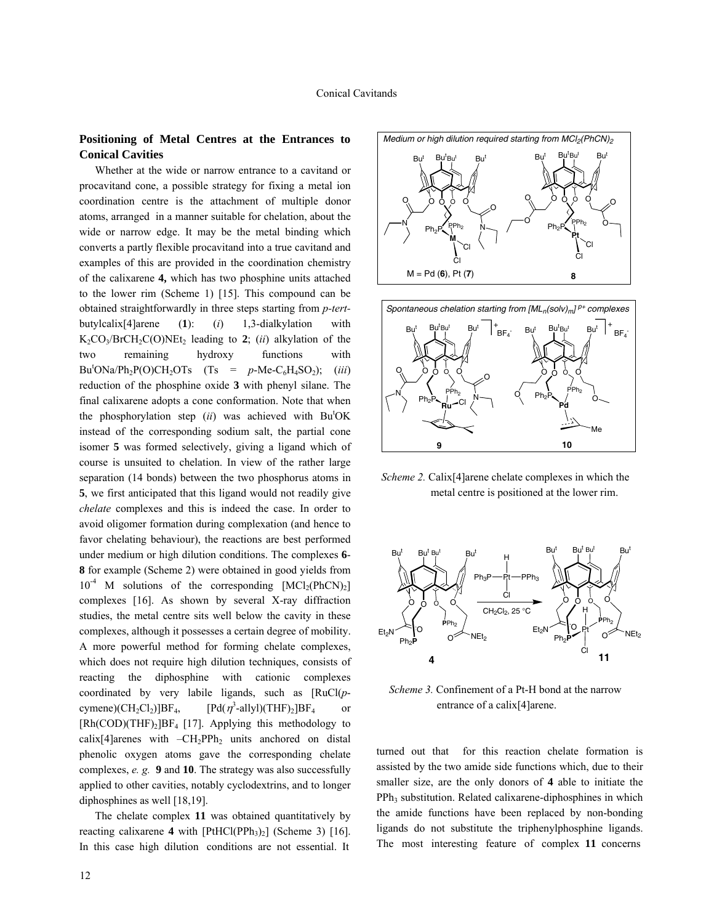# **Positioning of Metal Centres at the Entrances to Conical Cavities**

 Whether at the wide or narrow entrance to a cavitand or procavitand cone, a possible strategy for fixing a metal ion coordination centre is the attachment of multiple donor atoms, arranged in a manner suitable for chelation, about the wide or narrow edge. It may be the metal binding which converts a partly flexible procavitand into a true cavitand and examples of this are provided in the coordination chemistry of the calixarene **4,** which has two phosphine units attached to the lower rim (Scheme 1) [15]. This compound can be obtained straightforwardly in three steps starting from *p-tert*butylcalix[4]arene (**1**): (*i*) 1,3-dialkylation with  $K_2CO_3/BrCH_2C(O)NEt_2$  leading to 2; (*ii*) alkylation of the two remaining hydroxy functions with  $Bu<sup>t</sup>ONA/Ph<sub>2</sub>P(O)CH<sub>2</sub>OTs$  (Ts =  $p-Me-C<sub>6</sub>H<sub>4</sub>SO<sub>2</sub>$ ); (*iii*) reduction of the phosphine oxide **3** with phenyl silane. The final calixarene adopts a cone conformation. Note that when the phosphorylation step  $(ii)$  was achieved with Bu<sup>t</sup>OK instead of the corresponding sodium salt, the partial cone isomer **5** was formed selectively, giving a ligand which of course is unsuited to chelation. In view of the rather large separation (14 bonds) between the two phosphorus atoms in **5**, we first anticipated that this ligand would not readily give *chelate* complexes and this is indeed the case. In order to avoid oligomer formation during complexation (and hence to favor chelating behaviour), the reactions are best performed under medium or high dilution conditions. The complexes **6**- **8** for example (Scheme 2) were obtained in good yields from  $10^{-4}$  M solutions of the corresponding  $[MCl_2(PhCN)_2]$ complexes [16]. As shown by several X-ray diffraction studies, the metal centre sits well below the cavity in these complexes, although it possesses a certain degree of mobility. A more powerful method for forming chelate complexes, which does not require high dilution techniques, consists of reacting the diphosphine with cationic complexes coordinated by very labile ligands, such as [RuCl(*p*cymene)( $CH<sub>2</sub>Cl<sub>2</sub>$ )]BF<sub>4</sub>,  $[Pd(\eta^3\text{-allyl})(THF)_2]BF_4$  or  $[Rh(COD)(THF)<sub>2</sub>]BF<sub>4</sub>$  [17]. Applying this methodology to calix[4]arenes with  $-CH_2PPh_2$  units anchored on distal phenolic oxygen atoms gave the corresponding chelate complexes, *e. g.* **9** and **10**. The strategy was also successfully applied to other cavities, notably cyclodextrins, and to longer diphosphines as well [18,19].

 The chelate complex **11** was obtained quantitatively by reacting calixarene **4** with  $[PtHCl(PPh_3)_2]$  (Scheme 3)  $[16]$ . In this case high dilution conditions are not essential. It



*Scheme 2.* Calix[4]arene chelate complexes in which the metal centre is positioned at the lower rim.



*Scheme 3.* Confinement of a Pt-H bond at the narrow entrance of a calix[4]arene.

turned out that for this reaction chelate formation is assisted by the two amide side functions which, due to their smaller size, are the only donors of **4** able to initiate the  $PPh<sub>3</sub>$  substitution. Related calixarene-diphosphines in which the amide functions have been replaced by non-bonding ligands do not substitute the triphenylphosphine ligands. The most interesting feature of complex **11** concerns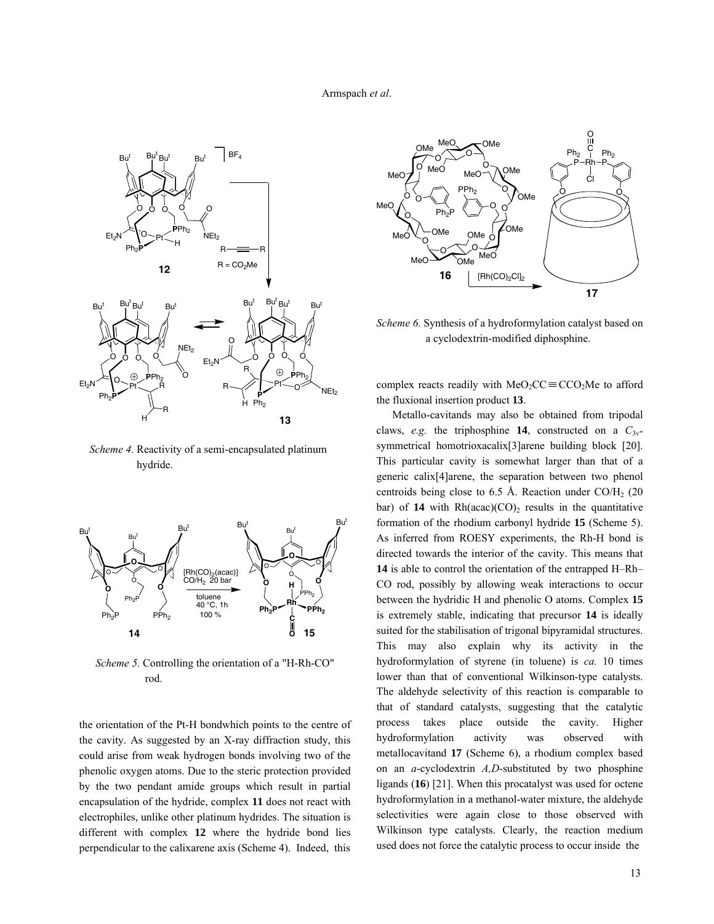

*Scheme 4.* Reactivity of a semi-encapsulated platinum hydride.



*Scheme 5.* Controlling the orientation of a "H-Rh-CO" rod.

the orientation of the Pt-H bondwhich points to the centre of the cavity. As suggested by an X-ray diffraction study, this could arise from weak hydrogen bonds involving two of the phenolic oxygen atoms. Due to the steric protection provided by the two pendant amide groups which result in partial encapsulation of the hydride, complex **11** does not react with electrophiles, unlike other platinum hydrides. The situation is different with complex **12** where the hydride bond lies perpendicular to the calixarene axis (Scheme 4). Indeed, this



*Scheme 6.* Synthesis of a hydroformylation catalyst based on a cyclodextrin-modified diphosphine.

complex reacts readily with  $MeO_2CC \equiv CCO_2Me$  to afford the fluxional insertion product **13**.

 Metallo-cavitands may also be obtained from tripodal claws, *e.g.* the triphosphine **14**, constructed on a  $C_{3v}$ symmetrical homotrioxacalix[3]arene building block [20]. This particular cavity is somewhat larger than that of a generic calix[4]arene, the separation between two phenol centroids being close to 6.5 Å. Reaction under  $CO/H_2$  (20 bar) of  $14$  with  $Rh(acac)(CO)_2$  results in the quantitative formation of the rhodium carbonyl hydride **15** (Scheme 5). As inferred from ROESY experiments, the Rh-H bond is directed towards the interior of the cavity. This means that **14** is able to control the orientation of the entrapped H–Rh– CO rod, possibly by allowing weak interactions to occur between the hydridic H and phenolic O atoms. Complex **15** is extremely stable, indicating that precursor **14** is ideally suited for the stabilisation of trigonal bipyramidal structures. This may also explain why its activity in the hydroformylation of styrene (in toluene) is *ca.* 10 times lower than that of conventional Wilkinson-type catalysts. The aldehyde selectivity of this reaction is comparable to that of standard catalysts, suggesting that the catalytic process takes place outside the cavity. Higher hydroformylation activity was observed with metallocavitand **17** (Scheme 6), a rhodium complex based on an *a*-cyclodextrin *A,D*-substituted by two phosphine ligands (**16**) [21]. When this procatalyst was used for octene hydroformylation in a methanol-water mixture, the aldehyde selectivities were again close to those observed with Wilkinson type catalysts. Clearly, the reaction medium used does not force the catalytic process to occur inside the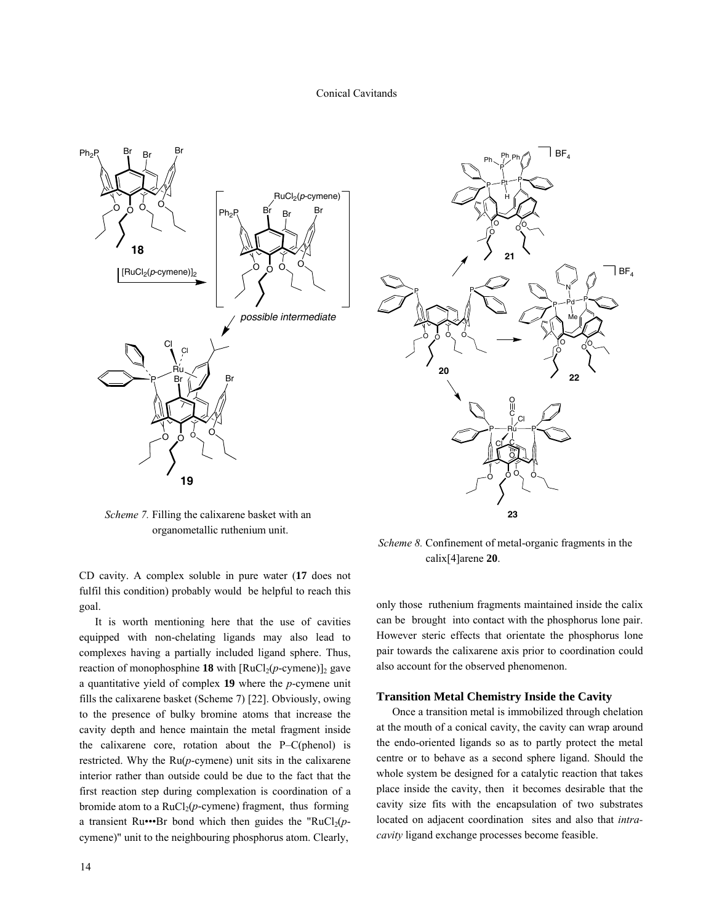### Conical Cavitands



O O O P O P **20**  $\circ$   $\sim$ P  $\overline{0}$  0 .<br>Pt ㅡ P H P Ph Ph<sub>ph</sub>  $\circ$   $\sim$ P  $\overline{O}$   $O$  $P_d$  –  $P$ Me N O O O P O P—Rú C C O Cl Cl O **23 21 22**  $BF<sub>4</sub>$  $\overline{\phantom{a}}$  BF $_4$ 

*Scheme 7.* Filling the calixarene basket with an organometallic ruthenium unit.

*Scheme 8.* Confinement of metal-organic fragments in the calix[4]arene **20**.

CD cavity. A complex soluble in pure water (**17** does not fulfil this condition) probably would be helpful to reach this goal.

 It is worth mentioning here that the use of cavities equipped with non-chelating ligands may also lead to complexes having a partially included ligand sphere. Thus, reaction of monophosphine **18** with  $\left[\text{RuCl}_2(p\text{-cymene})\right]_2$  gave a quantitative yield of complex **19** where the *p*-cymene unit fills the calixarene basket (Scheme 7) [22]. Obviously, owing to the presence of bulky bromine atoms that increase the cavity depth and hence maintain the metal fragment inside the calixarene core, rotation about the P–C(phenol) is restricted. Why the Ru(*p*-cymene) unit sits in the calixarene interior rather than outside could be due to the fact that the first reaction step during complexation is coordination of a bromide atom to a  $RuCl<sub>2</sub>(p$ -cymene) fragment, thus forming a transient Ru $\cdot\cdot\cdot$ Br bond which then guides the "RuCl<sub>2</sub>(*p*cymene)" unit to the neighbouring phosphorus atom. Clearly,

only those ruthenium fragments maintained inside the calix can be brought into contact with the phosphorus lone pair. However steric effects that orientate the phosphorus lone pair towards the calixarene axis prior to coordination could also account for the observed phenomenon.

# **Transition Metal Chemistry Inside the Cavity**

 Once a transition metal is immobilized through chelation at the mouth of a conical cavity, the cavity can wrap around the endo-oriented ligands so as to partly protect the metal centre or to behave as a second sphere ligand. Should the whole system be designed for a catalytic reaction that takes place inside the cavity, then it becomes desirable that the cavity size fits with the encapsulation of two substrates located on adjacent coordination sites and also that *intracavity* ligand exchange processes become feasible.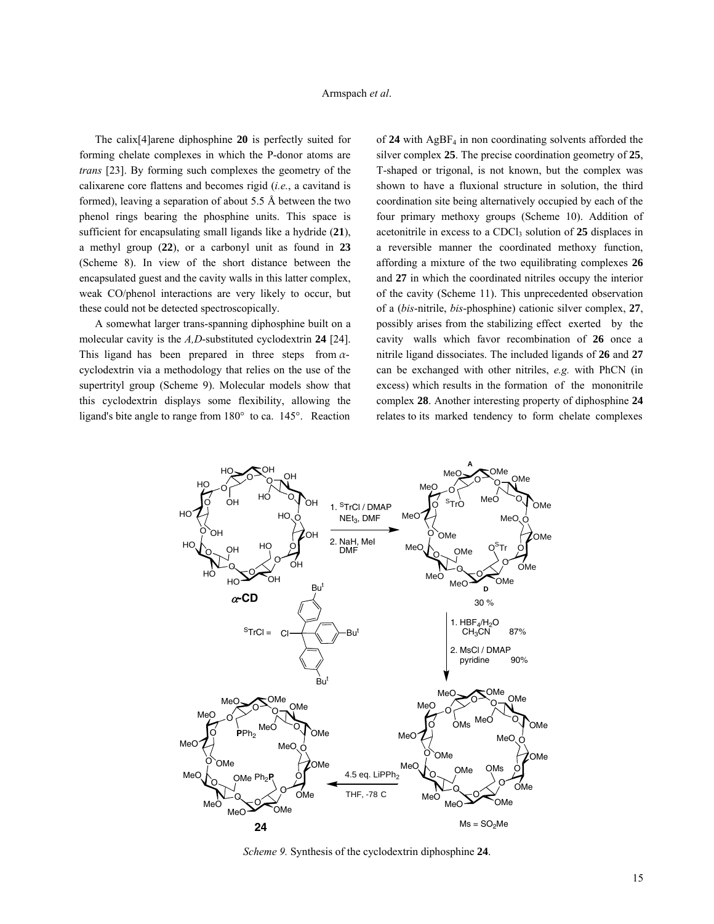The calix[4]arene diphosphine **20** is perfectly suited for forming chelate complexes in which the P-donor atoms are *trans* [23]. By forming such complexes the geometry of the calixarene core flattens and becomes rigid (*i.e.*, a cavitand is formed), leaving a separation of about 5.5 Å between the two phenol rings bearing the phosphine units. This space is sufficient for encapsulating small ligands like a hydride (**21**), a methyl group (**22**), or a carbonyl unit as found in **23** (Scheme 8). In view of the short distance between the encapsulated guest and the cavity walls in this latter complex, weak CO/phenol interactions are very likely to occur, but these could not be detected spectroscopically.

 A somewhat larger trans-spanning diphosphine built on a molecular cavity is the *A,D*-substituted cyclodextrin **24** [24]. This ligand has been prepared in three steps from *α*cyclodextrin via a methodology that relies on the use of the supertrityl group (Scheme 9). Molecular models show that this cyclodextrin displays some flexibility, allowing the ligand's bite angle to range from 180° to ca. 145°. Reaction

of  $24$  with AgBF<sub>4</sub> in non coordinating solvents afforded the silver complex **25**. The precise coordination geometry of **25**, T-shaped or trigonal, is not known, but the complex was shown to have a fluxional structure in solution, the third coordination site being alternatively occupied by each of the four primary methoxy groups (Scheme 10). Addition of acetonitrile in excess to a CDCl<sub>3</sub> solution of 25 displaces in a reversible manner the coordinated methoxy function, affording a mixture of the two equilibrating complexes **26** and **27** in which the coordinated nitriles occupy the interior of the cavity (Scheme 11). This unprecedented observation of a (*bis*-nitrile, *bis*-phosphine) cationic silver complex, **27**, possibly arises from the stabilizing effect exerted by the cavity walls which favor recombination of **26** once a nitrile ligand dissociates. The included ligands of **26** and **27** can be exchanged with other nitriles, *e.g.* with PhCN (in excess) which results in the formation of the mononitrile complex **28**. Another interesting property of diphosphine **24** relates to its marked tendency to form chelate complexes



*Scheme 9.* Synthesis of the cyclodextrin diphosphine **24**.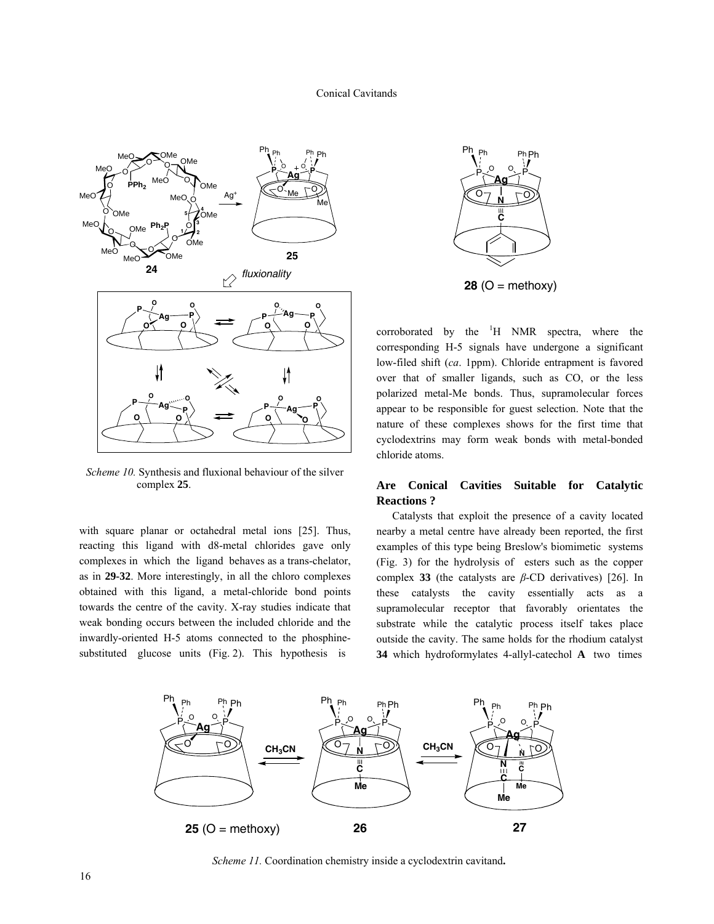

*Scheme 10.* Synthesis and fluxional behaviour of the silver complex **25**.

with square planar or octahedral metal ions [25]. Thus, reacting this ligand with d8-metal chlorides gave only complexes in which the ligand behaves as a trans-chelator, as in **29-32**. More interestingly, in all the chloro complexes obtained with this ligand, a metal-chloride bond points towards the centre of the cavity. X-ray studies indicate that weak bonding occurs between the included chloride and the inwardly-oriented H-5 atoms connected to the phosphinesubstituted glucose units (Fig. 2). This hypothesis is



**28** ( $O =$  methoxy)

corroborated by the  $H$  NMR spectra, where the corresponding H-5 signals have undergone a significant low-filed shift (*ca*. 1ppm). Chloride entrapment is favored over that of smaller ligands, such as CO, or the less polarized metal-Me bonds. Thus, supramolecular forces appear to be responsible for guest selection. Note that the nature of these complexes shows for the first time that cyclodextrins may form weak bonds with metal-bonded chloride atoms.

# **Are Conical Cavities Suitable for Catalytic Reactions ?**

Catalysts that exploit the presence of a cavity located nearby a metal centre have already been reported, the first examples of this type being Breslow's biomimetic systems (Fig. 3) for the hydrolysis of esters such as the copper complex **33** (the catalysts are *β*-CD derivatives) [26]. In these catalysts the cavity essentially acts as a supramolecular receptor that favorably orientates the substrate while the catalytic process itself takes place outside the cavity. The same holds for the rhodium catalyst **34** which hydroformylates 4-allyl-catechol **A** two times



*Scheme 11.* Coordination chemistry inside a cyclodextrin cavitand**.**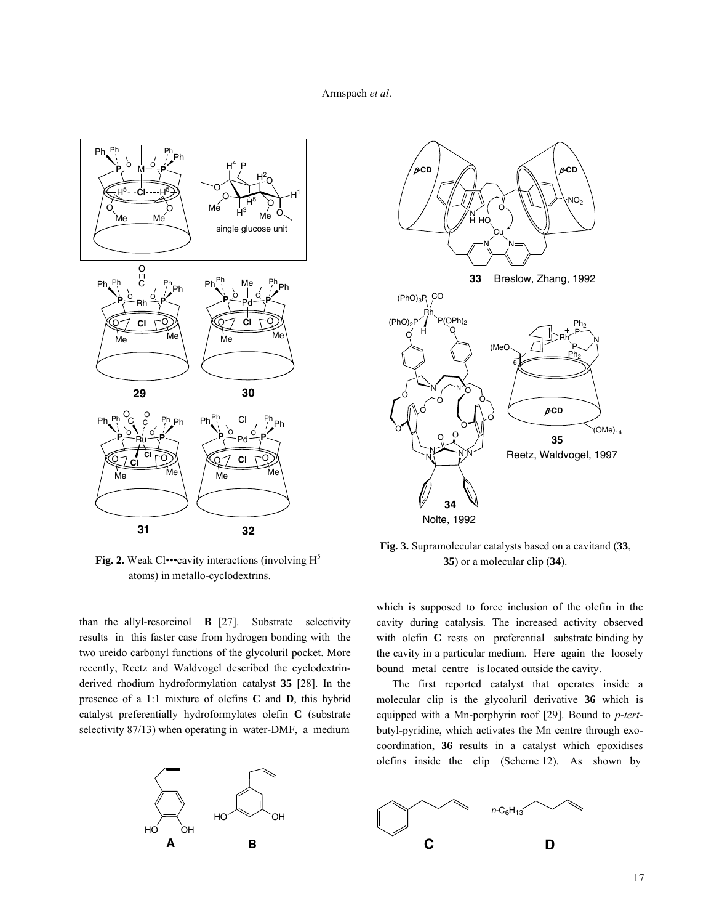

**Fig. 2.** Weak Cl $\cdot\cdot\cdot$ cavity interactions (involving  $H^5$ atoms) in metallo-cyclodextrins.

than the allyl-resorcinol **B** [27]. Substrate selectivity results in this faster case from hydrogen bonding with the two ureido carbonyl functions of the glycoluril pocket. More recently, Reetz and Waldvogel described the cyclodextrinderived rhodium hydroformylation catalyst **35** [28]. In the presence of a 1:1 mixture of olefins **C** and **D**, this hybrid catalyst preferentially hydroformylates olefin **C** (substrate selectivity 87/13) when operating in water-DMF, a medium





**Fig. 3.** Supramolecular catalysts based on a cavitand (**33**, **35**) or a molecular clip (**34**).

which is supposed to force inclusion of the olefin in the cavity during catalysis. The increased activity observed with olefin **C** rests on preferential substrate binding by the cavity in a particular medium. Here again the loosely bound metal centre is located outside the cavity.

 The first reported catalyst that operates inside a molecular clip is the glycoluril derivative **36** which is equipped with a Mn-porphyrin roof [29]. Bound to *p*-*tert*butyl-pyridine, which activates the Mn centre through exocoordination, **36** results in a catalyst which epoxidises olefins inside the clip (Scheme 12). As shown by

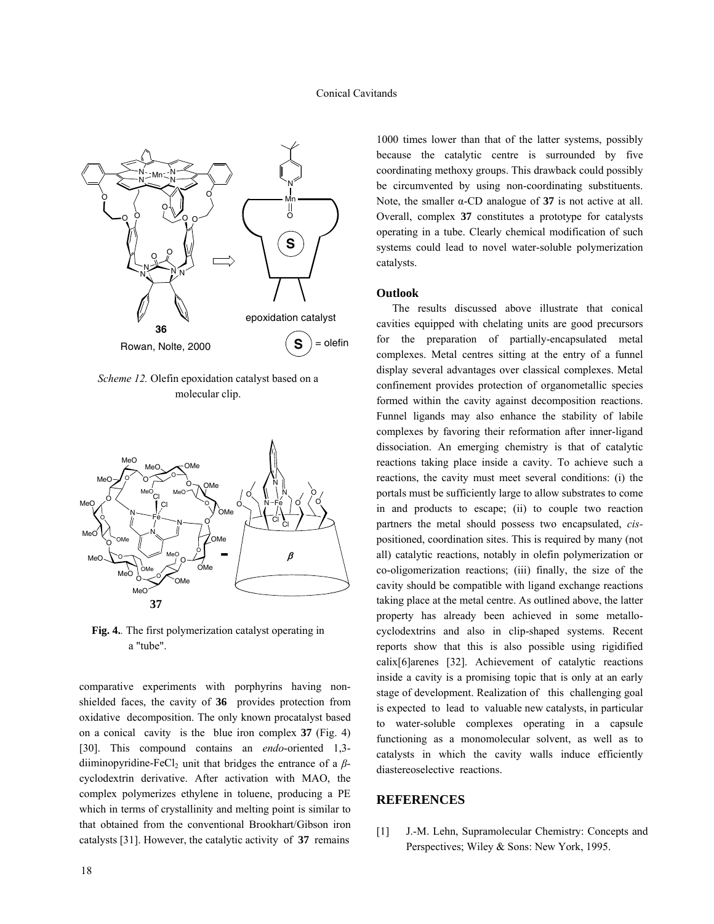

*Scheme 12.* Olefin epoxidation catalyst based on a molecular clip.



**Fig. 4.***.* The first polymerization catalyst operating in a "tube".

comparative experiments with porphyrins having nonshielded faces, the cavity of **36** provides protection from oxidative decomposition. The only known procatalyst based on a conical cavity is the blue iron complex **37** (Fig. 4) [30]. This compound contains an *endo*-oriented 1,3 diiminopyridine-FeCl<sub>2</sub> unit that bridges the entrance of a βcyclodextrin derivative. After activation with MAO, the complex polymerizes ethylene in toluene, producing a PE which in terms of crystallinity and melting point is similar to that obtained from the conventional Brookhart/Gibson iron catalysts [31]. However, the catalytic activity of **37** remains

1000 times lower than that of the latter systems, possibly because the catalytic centre is surrounded by five coordinating methoxy groups. This drawback could possibly be circumvented by using non-coordinating substituents. Note, the smaller α-CD analogue of **37** is not active at all. Overall, complex **37** constitutes a prototype for catalysts operating in a tube. Clearly chemical modification of such systems could lead to novel water-soluble polymerization catalysts.

### **Outlook**

 The results discussed above illustrate that conical cavities equipped with chelating units are good precursors for the preparation of partially-encapsulated metal complexes. Metal centres sitting at the entry of a funnel display several advantages over classical complexes. Metal confinement provides protection of organometallic species formed within the cavity against decomposition reactions. Funnel ligands may also enhance the stability of labile complexes by favoring their reformation after inner-ligand dissociation. An emerging chemistry is that of catalytic reactions taking place inside a cavity. To achieve such a reactions, the cavity must meet several conditions: (i) the portals must be sufficiently large to allow substrates to come in and products to escape; (ii) to couple two reaction partners the metal should possess two encapsulated, *cis*positioned, coordination sites. This is required by many (not all) catalytic reactions, notably in olefin polymerization or co-oligomerization reactions; (iii) finally, the size of the cavity should be compatible with ligand exchange reactions taking place at the metal centre. As outlined above, the latter property has already been achieved in some metallocyclodextrins and also in clip-shaped systems. Recent reports show that this is also possible using rigidified calix[6]arenes [32]. Achievement of catalytic reactions inside a cavity is a promising topic that is only at an early stage of development. Realization of this challenging goal is expected to lead to valuable new catalysts, in particular to water-soluble complexes operating in a capsule functioning as a monomolecular solvent, as well as to catalysts in which the cavity walls induce efficiently diastereoselective reactions.

## **REFERENCES**

[1] J.-M. Lehn, Supramolecular Chemistry: Concepts and Perspectives; Wiley & Sons: New York, 1995.